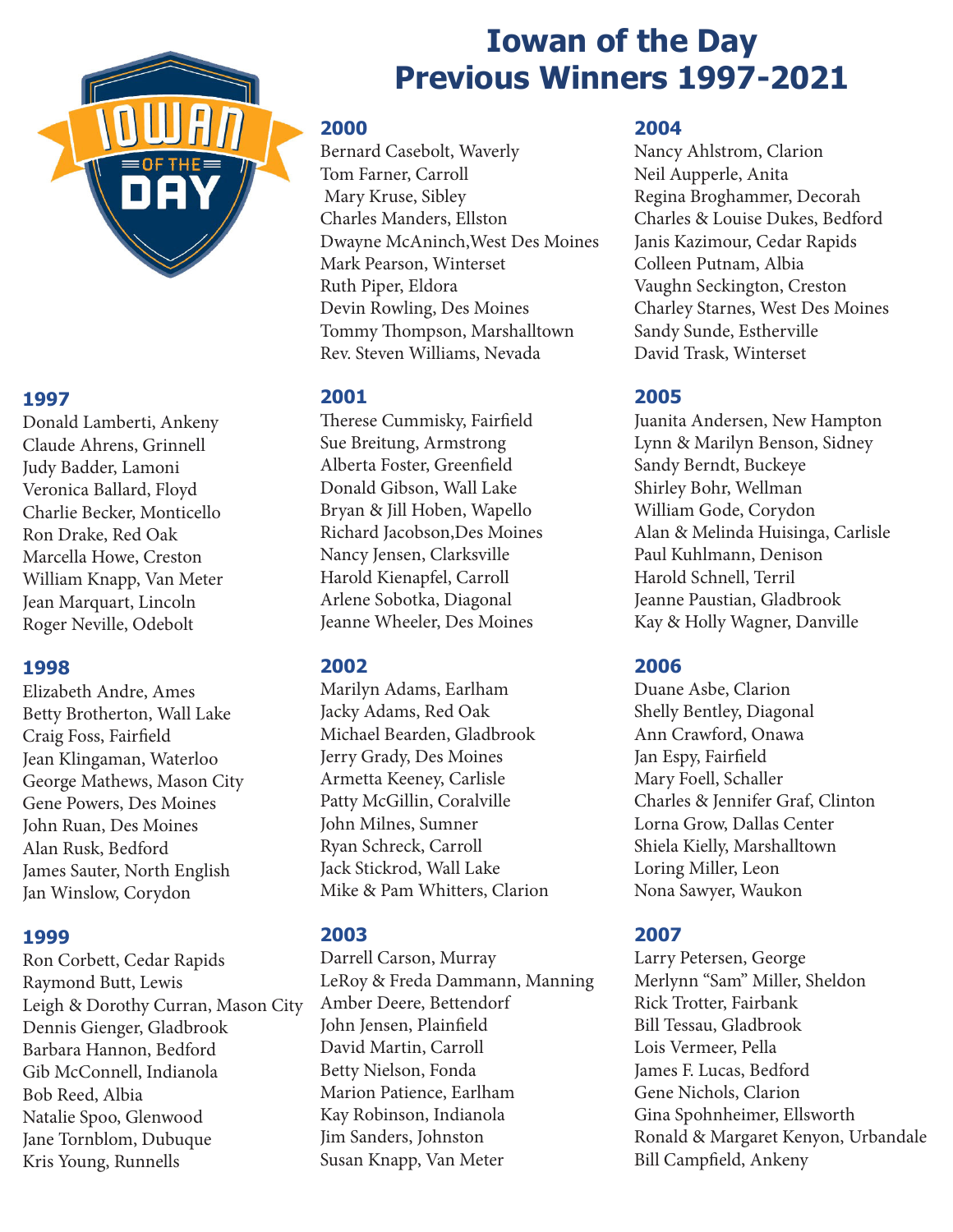

# **1997**

Donald Lamberti, Ankeny Claude Ahrens, Grinnell Judy Badder, Lamoni Veronica Ballard, Floyd Charlie Becker, Monticello Ron Drake, Red Oak Marcella Howe, Creston William Knapp, Van Meter Jean Marquart, Lincoln Roger Neville, Odebolt

## **1998**

Elizabeth Andre, Ames Betty Brotherton, Wall Lake Craig Foss, Fairfield Jean Klingaman, Waterloo George Mathews, Mason City Gene Powers, Des Moines John Ruan, Des Moines Alan Rusk, Bedford James Sauter, North English Jan Winslow, Corydon

#### **1999**

Ron Corbett, Cedar Rapids Raymond Butt, Lewis Leigh & Dorothy Curran, Mason City Dennis Gienger, Gladbrook Barbara Hannon, Bedford Gib McConnell, Indianola Bob Reed, Albia Natalie Spoo, Glenwood Jane Tornblom, Dubuque Kris Young, Runnells

# **Iowan of the Day Previous Winners 1997-2021**

# **2000**

Bernard Casebolt, Waverly Tom Farner, Carroll Mary Kruse, Sibley Charles Manders, Ellston Dwayne McAninch,West Des Moines Mark Pearson, Winterset Ruth Piper, Eldora Devin Rowling, Des Moines Tommy Thompson, Marshalltown Rev. Steven Williams, Nevada

# **2001**

Therese Cummisky, Fairfield Sue Breitung, Armstrong Alberta Foster, Greenfield Donald Gibson, Wall Lake Bryan & Jill Hoben, Wapello Richard Jacobson,Des Moines Nancy Jensen, Clarksville Harold Kienapfel, Carroll Arlene Sobotka, Diagonal Jeanne Wheeler, Des Moines

## **2002**

Marilyn Adams, Earlham Jacky Adams, Red Oak Michael Bearden, Gladbrook Jerry Grady, Des Moines Armetta Keeney, Carlisle Patty McGillin, Coralville John Milnes, Sumner Ryan Schreck, Carroll Jack Stickrod, Wall Lake Mike & Pam Whitters, Clarion

## **2003**

Darrell Carson, Murray LeRoy & Freda Dammann, Manning Amber Deere, Bettendorf John Jensen, Plainfield David Martin, Carroll Betty Nielson, Fonda Marion Patience, Earlham Kay Robinson, Indianola Jim Sanders, Johnston Susan Knapp, Van Meter

# **2004**

Nancy Ahlstrom, Clarion Neil Aupperle, Anita Regina Broghammer, Decorah Charles & Louise Dukes, Bedford Janis Kazimour, Cedar Rapids Colleen Putnam, Albia Vaughn Seckington, Creston Charley Starnes, West Des Moines Sandy Sunde, Estherville David Trask, Winterset

# **2005**

Juanita Andersen, New Hampton Lynn & Marilyn Benson, Sidney Sandy Berndt, Buckeye Shirley Bohr, Wellman William Gode, Corydon Alan & Melinda Huisinga, Carlisle Paul Kuhlmann, Denison Harold Schnell, Terril Jeanne Paustian, Gladbrook Kay & Holly Wagner, Danville

## **2006**

Duane Asbe, Clarion Shelly Bentley, Diagonal Ann Crawford, Onawa Jan Espy, Fairfield Mary Foell, Schaller Charles & Jennifer Graf, Clinton Lorna Grow, Dallas Center Shiela Kielly, Marshalltown Loring Miller, Leon Nona Sawyer, Waukon

# **2007**

Larry Petersen, George Merlynn "Sam" Miller, Sheldon Rick Trotter, Fairbank Bill Tessau, Gladbrook Lois Vermeer, Pella James F. Lucas, Bedford Gene Nichols, Clarion Gina Spohnheimer, Ellsworth Ronald & Margaret Kenyon, Urbandale Bill Campfield, Ankeny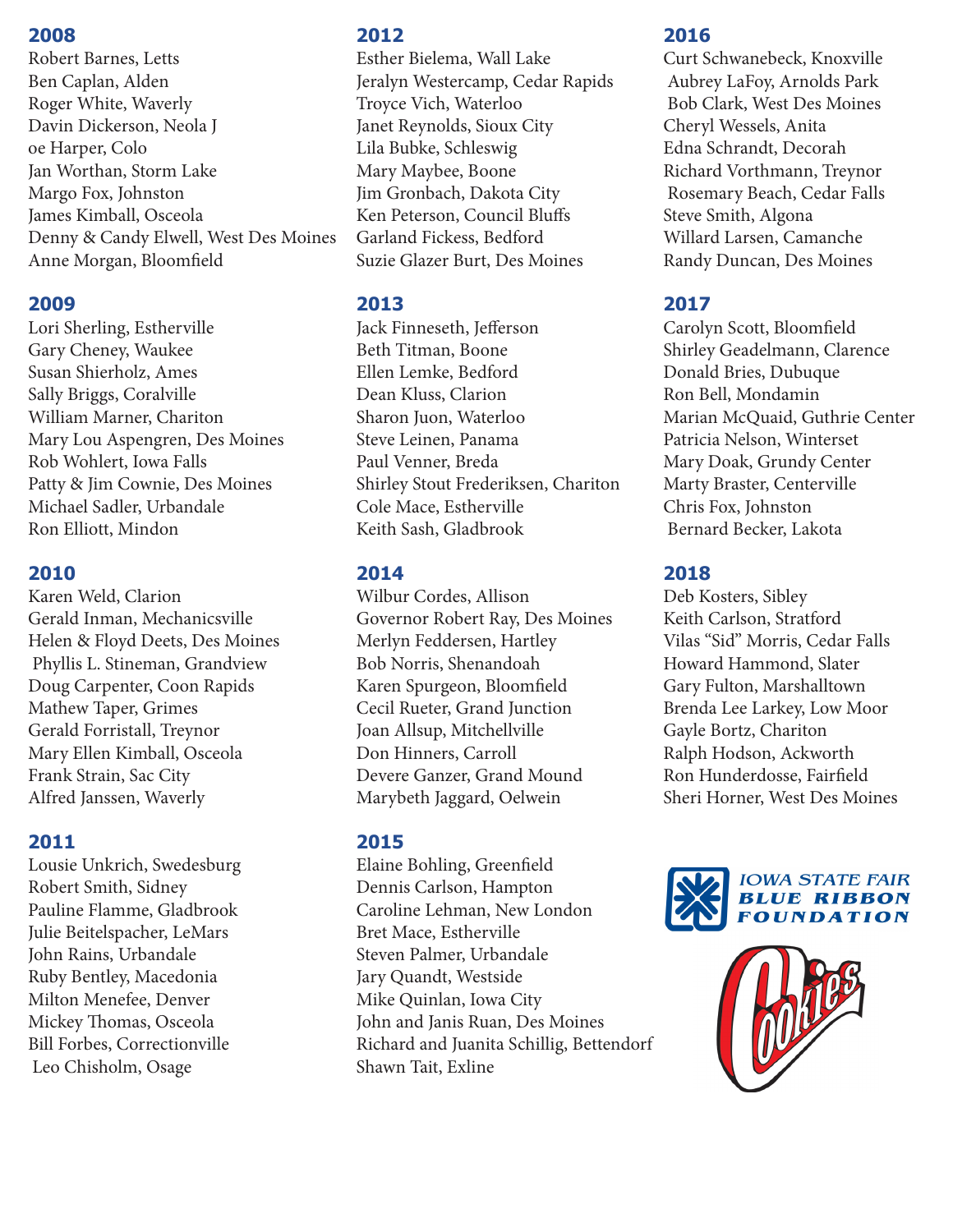#### **2008**

Robert Barnes, Letts Ben Caplan, Alden Roger White, Waverly Davin Dickerson, Neola J oe Harper, Colo Jan Worthan, Storm Lake Margo Fox, Johnston James Kimball, Osceola Denny & Candy Elwell, West Des Moines Anne Morgan, Bloomfield

#### **2009**

Lori Sherling, Estherville Gary Cheney, Waukee Susan Shierholz, Ames Sally Briggs, Coralville William Marner, Chariton Mary Lou Aspengren, Des Moines Rob Wohlert, Iowa Falls Patty & Jim Cownie, Des Moines Michael Sadler, Urbandale Ron Elliott, Mindon

#### **2010**

Karen Weld, Clarion Gerald Inman, Mechanicsville Helen & Floyd Deets, Des Moines Phyllis L. Stineman, Grandview Doug Carpenter, Coon Rapids Mathew Taper, Grimes Gerald Forristall, Treynor Mary Ellen Kimball, Osceola Frank Strain, Sac City Alfred Janssen, Waverly

#### **2011**

Lousie Unkrich, Swedesburg Robert Smith, Sidney Pauline Flamme, Gladbrook Julie Beitelspacher, LeMars John Rains, Urbandale Ruby Bentley, Macedonia Milton Menefee, Denver Mickey Thomas, Osceola Bill Forbes, Correctionville Leo Chisholm, Osage

#### **2012**

Esther Bielema, Wall Lake Jeralyn Westercamp, Cedar Rapids Troyce Vich, Waterloo Janet Reynolds, Sioux City Lila Bubke, Schleswig Mary Maybee, Boone Jim Gronbach, Dakota City Ken Peterson, Council Bluffs Garland Fickess, Bedford Suzie Glazer Burt, Des Moines

#### **2013**

Jack Finneseth, Jefferson Beth Titman, Boone Ellen Lemke, Bedford Dean Kluss, Clarion Sharon Juon, Waterloo Steve Leinen, Panama Paul Venner, Breda Shirley Stout Frederiksen, Chariton Cole Mace, Estherville Keith Sash, Gladbrook

#### **2014**

Wilbur Cordes, Allison Governor Robert Ray, Des Moines Merlyn Feddersen, Hartley Bob Norris, Shenandoah Karen Spurgeon, Bloomfield Cecil Rueter, Grand Junction Joan Allsup, Mitchellville Don Hinners, Carroll Devere Ganzer, Grand Mound Marybeth Jaggard, Oelwein

#### **2015**

Elaine Bohling, Greenfield Dennis Carlson, Hampton Caroline Lehman, New London Bret Mace, Estherville Steven Palmer, Urbandale Jary Quandt, Westside Mike Quinlan, Iowa City John and Janis Ruan, Des Moines Richard and Juanita Schillig, Bettendorf Shawn Tait, Exline

## **2016**

Curt Schwanebeck, Knoxville Aubrey LaFoy, Arnolds Park Bob Clark, West Des Moines Cheryl Wessels, Anita Edna Schrandt, Decorah Richard Vorthmann, Treynor Rosemary Beach, Cedar Falls Steve Smith, Algona Willard Larsen, Camanche Randy Duncan, Des Moines

# **2017**

Carolyn Scott, Bloomfield Shirley Geadelmann, Clarence Donald Bries, Dubuque Ron Bell, Mondamin Marian McQuaid, Guthrie Center Patricia Nelson, Winterset Mary Doak, Grundy Center Marty Braster, Centerville Chris Fox, Johnston Bernard Becker, Lakota

## **2018**

Deb Kosters, Sibley Keith Carlson, Stratford Vilas "Sid" Morris, Cedar Falls Howard Hammond, Slater Gary Fulton, Marshalltown Brenda Lee Larkey, Low Moor Gayle Bortz, Chariton Ralph Hodson, Ackworth Ron Hunderdosse, Fairfield Sheri Horner, West Des Moines